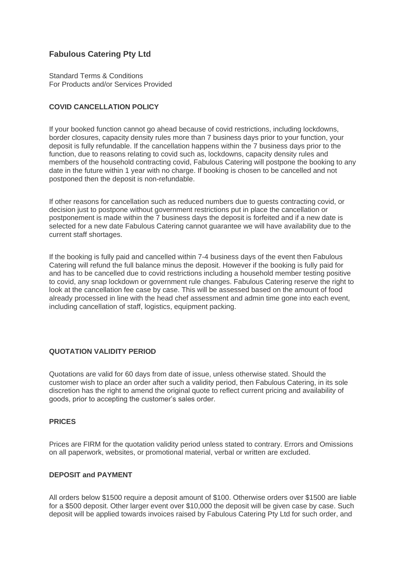# **Fabulous Catering Pty Ltd**

Standard Terms & Conditions For Products and/or Services Provided

# **COVID CANCELLATION POLICY**

If your booked function cannot go ahead because of covid restrictions, including lockdowns, border closures, capacity density rules more than 7 business days prior to your function, your deposit is fully refundable. If the cancellation happens within the 7 business days prior to the function, due to reasons relating to covid such as, lockdowns, capacity density rules and members of the household contracting covid, Fabulous Catering will postpone the booking to any date in the future within 1 year with no charge. If booking is chosen to be cancelled and not postponed then the deposit is non-refundable.

If other reasons for cancellation such as reduced numbers due to guests contracting covid, or decision just to postpone without government restrictions put in place the cancellation or postponement is made within the 7 business days the deposit is forfeited and if a new date is selected for a new date Fabulous Catering cannot guarantee we will have availability due to the current staff shortages.

If the booking is fully paid and cancelled within 7-4 business days of the event then Fabulous Catering will refund the full balance minus the deposit. However if the booking is fully paid for and has to be cancelled due to covid restrictions including a household member testing positive to covid, any snap lockdown or government rule changes. Fabulous Catering reserve the right to look at the cancellation fee case by case. This will be assessed based on the amount of food already processed in line with the head chef assessment and admin time gone into each event, including cancellation of staff, logistics, equipment packing.

# **QUOTATION VALIDITY PERIOD**

Quotations are valid for 60 days from date of issue, unless otherwise stated. Should the customer wish to place an order after such a validity period, then Fabulous Catering, in its sole discretion has the right to amend the original quote to reflect current pricing and availability of goods, prior to accepting the customer's sales order.

#### **PRICES**

Prices are FIRM for the quotation validity period unless stated to contrary. Errors and Omissions on all paperwork, websites, or promotional material, verbal or written are excluded.

### **DEPOSIT and PAYMENT**

All orders below \$1500 require a deposit amount of \$100. Otherwise orders over \$1500 are liable for a \$500 deposit. Other larger event over \$10,000 the deposit will be given case by case. Such deposit will be applied towards invoices raised by Fabulous Catering Pty Ltd for such order, and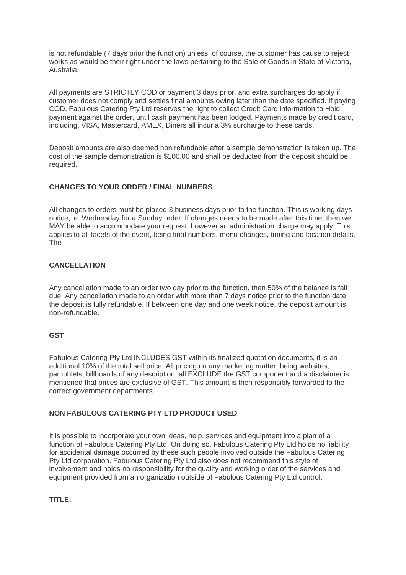is not refundable (7 days prior the function) unless, of course, the customer has cause to reject works as would be their right under the laws pertaining to the Sale of Goods in State of Victoria, Australia.

All payments are STRICTLY COD or payment 3 days prior, and extra surcharges do apply if customer does not comply and settles final amounts owing later than the date specified. If paying COD, Fabulous Catering Pty Ltd reserves the right to collect Credit Card information to Hold payment against the order, until cash payment has been lodged. Payments made by credit card, including, VISA, Mastercard, AMEX, Diners all incur a 3% surcharge to these cards.

Deposit amounts are also deemed non refundable after a sample demonstration is taken up. The cost of the sample demonstration is \$100.00 and shall be deducted from the deposit should be required.

### **CHANGES TO YOUR ORDER / FINAL NUMBERS**

All changes to orders must be placed 3 business days prior to the function. This is working days notice, ie: Wednesday for a Sunday order. If changes needs to be made after this time, then we MAY be able to accommodate your request, however an administration charge may apply. This applies to all facets of the event, being final numbers, menu changes, timing and location details. The

# **CANCELLATION**

Any cancellation made to an order two day prior to the function, then 50% of the balance is fall due. Any cancellation made to an order with more than 7 days notice prior to the function date, the deposit is fully refundable. If between one day and one week notice, the deposit amount is non-refundable.

#### **GST**

Fabulous Catering Pty Ltd INCLUDES GST within its finalized quotation documents, it is an additional 10% of the total sell price. All pricing on any marketing matter, being websites, pamphlets, billboards of any description, all EXCLUDE the GST component and a disclaimer is mentioned that prices are exclusive of GST. This amount is then responsibly forwarded to the correct government departments.

#### **NON FABULOUS CATERING PTY LTD PRODUCT USED**

It is possible to incorporate your own ideas, help, services and equipment into a plan of a function of Fabulous Catering Pty Ltd. On doing so, Fabulous Catering Pty Ltd holds no liability for accidental damage occurred by these such people involved outside the Fabulous Catering Pty Ltd corporation. Fabulous Catering Pty Ltd also does not recommend this style of involvement and holds no responsibility for the quality and working order of the services and equipment provided from an organization outside of Fabulous Catering Pty Ltd control.

#### **TITLE:**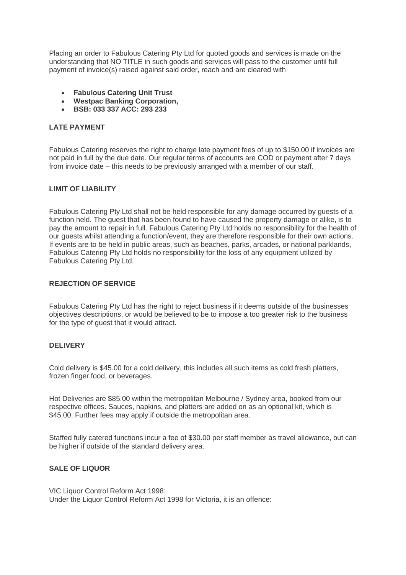Placing an order to Fabulous Catering Pty Ltd for quoted goods and services is made on the understanding that NO TITLE in such goods and services will pass to the customer until full payment of invoice(s) raised against said order, reach and are cleared with

- **Fabulous Catering Unit Trust**
- **Westpac Banking Corporation,**
- **BSB: 033 337 ACC: 293 233**

### **LATE PAYMENT**

Fabulous Catering reserves the right to charge late payment fees of up to \$150.00 if invoices are not paid in full by the due date. Our regular terms of accounts are COD or payment after 7 days from invoice date – this needs to be previously arranged with a member of our staff.

### **LIMIT OF LIABILITY**

Fabulous Catering Pty Ltd shall not be held responsible for any damage occurred by guests of a function held. The guest that has been found to have caused the property damage or alike, is to pay the amount to repair in full. Fabulous Catering Pty Ltd holds no responsibility for the health of our guests whilst attending a function/event, they are therefore responsible for their own actions. If events are to be held in public areas, such as beaches, parks, arcades, or national parklands, Fabulous Catering Pty Ltd holds no responsibility for the loss of any equipment utilized by Fabulous Catering Pty Ltd.

### **REJECTION OF SERVICE**

Fabulous Catering Pty Ltd has the right to reject business if it deems outside of the businesses objectives descriptions, or would be believed to be to impose a too greater risk to the business for the type of guest that it would attract.

#### **DELIVERY**

Cold delivery is \$45.00 for a cold delivery, this includes all such items as cold fresh platters, frozen finger food, or beverages.

Hot Deliveries are \$85.00 within the metropolitan Melbourne / Sydney area, booked from our respective offices. Sauces, napkins, and platters are added on as an optional kit, which is \$45.00. Further fees may apply if outside the metropolitan area.

Staffed fully catered functions incur a fee of \$30.00 per staff member as travel allowance, but can be higher if outside of the standard delivery area.

#### **SALE OF LIQUOR**

VIC Liquor Control Reform Act 1998: Under the Liquor Control Reform Act 1998 for Victoria, it is an offence: